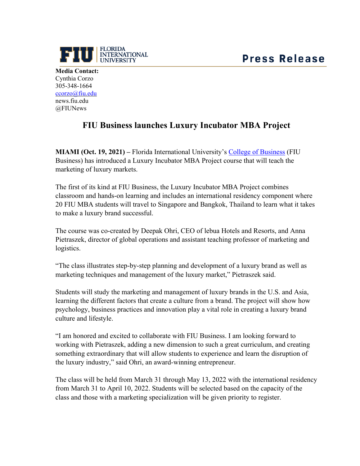

**Media Contact:** Cynthia Corzo 305-348-1664 [ccorzo@fiu.edu](mailto:ccorzo@fiu.edu) news.fiu.edu @FIUNews

## **FIU Business launches Luxury Incubator MBA Project**

**MIAMI (Oct. 19, 2021) –** Florida International University's College of Business (FIU Business) has introduced a Luxury Incubator MBA Project course that will teach the marketing of luxury markets.

The first of its kind at FIU Business, the Luxury Incubator MBA Project combines classroom and hands-on learning and includes an international residency component where 20 FIU MBA students will travel to Singapore and Bangkok, Thailand to learn what it takes to make a luxury brand successful.

The course was co-created by Deepak Ohri, CEO of lebua Hotels and Resorts, and Anna Pietraszek, director of global operations and assistant teaching professor of marketing and logistics.

"The class illustrates step-by-step planning and development of a luxury brand as well as marketing techniques and management of the luxury market," Pietraszek said.

Students will study the marketing and management of luxury brands in the U.S. and Asia, learning the different factors that create a culture from a brand. The project will show how psychology, business practices and innovation play a vital role in creating a luxury brand culture and lifestyle.

"I am honored and excited to collaborate with FIU Business. I am looking forward to working with Pietraszek, adding a new dimension to such a great curriculum, and creating something extraordinary that will allow students to experience and learn the disruption of the luxury industry," said Ohri, an award-winning entrepreneur.

The class will be held from March 31 through May 13, 2022 with the international residency from March 31 to April 10, 2022. Students will be selected based on the capacity of the class and those with a marketing specialization will be given priority to register.